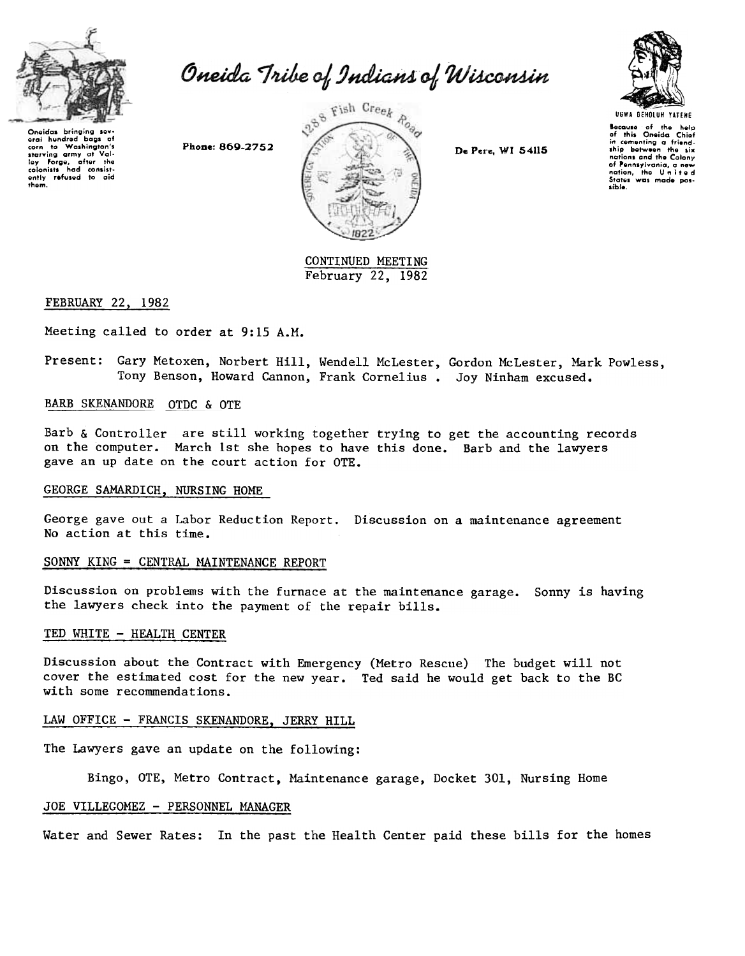

Oneida Tribe of Indians of Wisconsin

Oneidas bringing sev-<br>eral hundred baas of eral hundred bags of<br>starving army at Val-<br>igy forge, after the<br>calonists had consist-<br>ently refused to aid<br>them.





Because of the help<br>of this Oneida Chiot<br>in cementing a friend.<br>ship bolweon the six<br>nations and the Colony of Pennsylvania, a new<br>nation, the United<br>States was made possible.

CONTINUED MEETING February 22, 1982

# FEBRUARY 22, 1982

Meeting called to order at 9:15 A.M.

Present: Gary Metoxen, Norbert Hill, Wendell McLester, Gordon McLester, Mark Powless, Tony Benson, Howard Cannon, Frank Cornelius. Joy Ninham excused.

# BARB SKENANDORE OTDC & OTE

Barb & Controller are still working together trying to get the accounting records on the computer. March 1st she hopes to have this done. Barb and the lawyers gave an up date on the court action for OTE.

#### GEORGE SAMARDICH, NURSING HOME

George gave out a Labor Reduction Report. Discussion on a maintenance agreemen No action at this time.

## $SONNY$  KING = CENTRAL MAINTENANCE REPORT

Discussion on problems with the furnace at the maintenance garage. Sonny is having the lawyers check into the payment of the repair bills.

### TED WHITE - HEALTH CENTER

Discussion about the Contract with Emergency (Metro Rescue) The budget will not cover the estimated cost for the new year. Ted said he would get back to the BC with some recommendations.

# LAW OFFICE - FRANCIS SKENANDORE. JERRY HILL

The Lawyers gave an update on the following:

Bingo, OTE, Metro Contract, Maintenance garage, Docket 301, Nursing Home

#### JOE VILLEGOMEZ - PERSONNEL MANAGER

Water and Sewer Rates: In the past the Health Center paid these bills for the homes